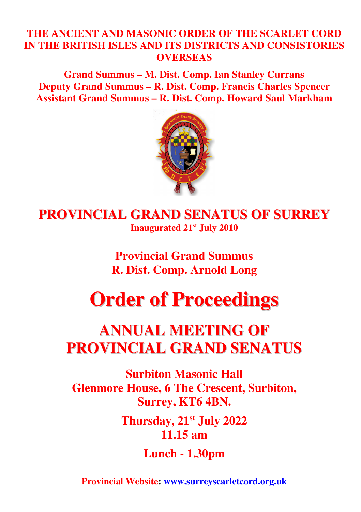### **THE ANCIENT AND MASONIC ORDER OF THE SCARLET CORD IN THE BRITISH ISLES AND ITS DISTRICTS AND CONSISTORIES OVERSEAS**

**Grand Summus – M. Dist. Comp. Ian Stanley Currans Deputy Grand Summus – R. Dist. Comp. Francis Charles Spencer Assistant Grand Summus – R. Dist. Comp. Howard Saul Markham** 



**PROVINCIAL GRAND SENATUS OF SURREY Inaugurated 21st July 2010** 

> **Provincial Grand Summus R. Dist. Comp. Arnold Long**

# **Order of Proceedings**

# **ANNUAL MEETING OF PROVINCIAL GRAND SENATUS**

**Surbiton Masonic Hall Glenmore House, 6 The Crescent, Surbiton, Surrey, KT6 4BN.** 

> **Thursday, 21st July 2022 11.15 am**

> > **Lunch - 1.30pm**

**Provincial Website: www.surreyscarletcord.org.uk**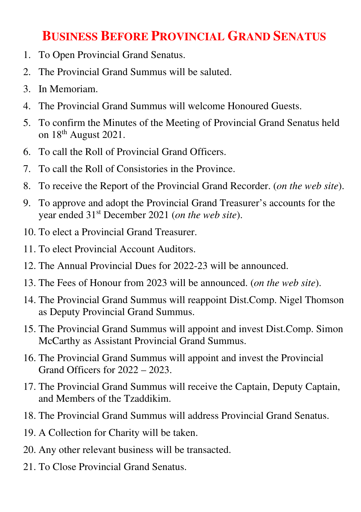## **BUSINESS BEFORE PROVINCIAL GRAND SENATUS**

- 1. To Open Provincial Grand Senatus.
- 2. The Provincial Grand Summus will be saluted.
- 3. In Memoriam.
- 4. The Provincial Grand Summus will welcome Honoured Guests.
- 5. To confirm the Minutes of the Meeting of Provincial Grand Senatus held on 18<sup>th</sup> August 2021.
- 6. To call the Roll of Provincial Grand Officers.
- 7. To call the Roll of Consistories in the Province.
- 8. To receive the Report of the Provincial Grand Recorder. (*on the web site*).
- 9. To approve and adopt the Provincial Grand Treasurer's accounts for the year ended 31st December 2021 (*on the web site*).
- 10. To elect a Provincial Grand Treasurer.
- 11. To elect Provincial Account Auditors.
- 12. The Annual Provincial Dues for 2022-23 will be announced.
- 13. The Fees of Honour from 2023 will be announced. (*on the web site*).
- 14. The Provincial Grand Summus will reappoint Dist.Comp. Nigel Thomson as Deputy Provincial Grand Summus.
- 15. The Provincial Grand Summus will appoint and invest Dist.Comp. Simon McCarthy as Assistant Provincial Grand Summus.
- 16. The Provincial Grand Summus will appoint and invest the Provincial Grand Officers for 2022 – 2023.
- 17. The Provincial Grand Summus will receive the Captain, Deputy Captain, and Members of the Tzaddikim.
- 18. The Provincial Grand Summus will address Provincial Grand Senatus.
- 19. A Collection for Charity will be taken.
- 20. Any other relevant business will be transacted.
- 21. To Close Provincial Grand Senatus.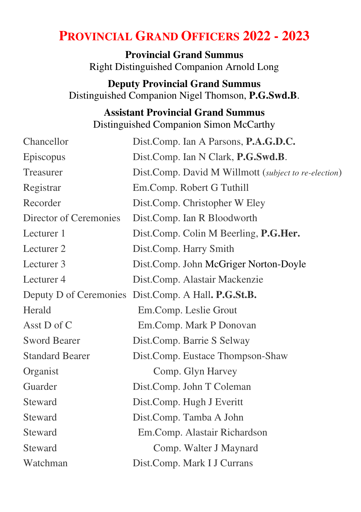## **PROVINCIAL GRAND OFFICERS 2022 - 2023**

**Provincial Grand Summus** Right Distinguished Companion Arnold Long

**Deputy Provincial Grand Summus** Distinguished Companion Nigel Thomson, **P.G.Swd.B**.

## **Assistant Provincial Grand Summus** Distinguished Companion Simon McCarthy

| Chancellor             | Dist.Comp. Ian A Parsons, P.A.G.D.C.                 |
|------------------------|------------------------------------------------------|
| Episcopus              | Dist.Comp. Ian N Clark, P.G.Swd.B.                   |
| Treasurer              | Dist.Comp. David M Willmott (subject to re-election) |
| Registrar              | Em.Comp. Robert G Tuthill                            |
| Recorder               | Dist.Comp. Christopher W Eley                        |
| Director of Ceremonies | Dist.Comp. Ian R Bloodworth                          |
| Lecturer 1             | Dist.Comp. Colin M Beerling, P.G.Her.                |
| Lecturer 2             | Dist.Comp. Harry Smith                               |
| Lecturer 3             | Dist.Comp. John McGriger Norton-Doyle                |
| Lecturer <sub>4</sub>  | Dist.Comp. Alastair Mackenzie                        |
|                        | Deputy D of Ceremonies Dist.Comp. A Hall. P.G.St.B.  |
| Herald                 | Em.Comp. Leslie Grout                                |
| Asst D of C            | Em.Comp. Mark P Donovan                              |
| <b>Sword Bearer</b>    | Dist.Comp. Barrie S Selway                           |
| <b>Standard Bearer</b> | Dist.Comp. Eustace Thompson-Shaw                     |
| Organist               | Comp. Glyn Harvey                                    |
| Guarder                | Dist.Comp. John T Coleman                            |
| Steward                | Dist.Comp. Hugh J Everitt                            |
| Steward                | Dist.Comp. Tamba A John                              |
| Steward                | Em.Comp. Alastair Richardson                         |
| Steward                | Comp. Walter J Maynard                               |
| Watchman               | Dist.Comp. Mark I J Currans                          |